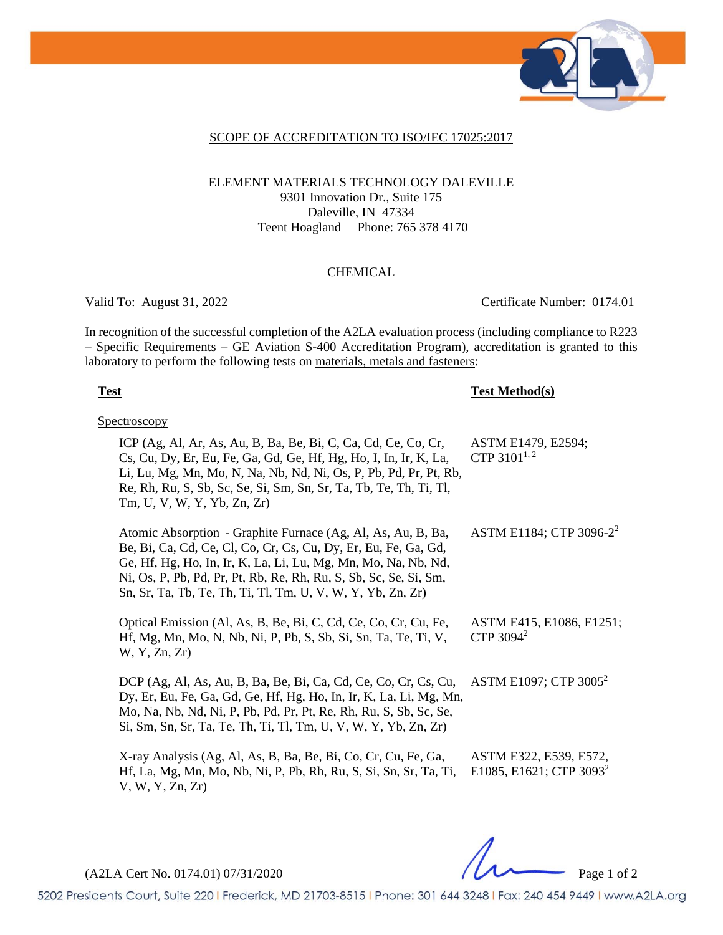

#### SCOPE OF ACCREDITATION TO ISO/IEC 17025:2017

### ELEMENT MATERIALS TECHNOLOGY DALEVILLE 9301 Innovation Dr., Suite 175 Daleville, IN 47334 Teent Hoagland Phone: 765 378 4170

#### CHEMICAL

Valid To: August 31, 2022 Certificate Number: 0174.01

In recognition of the successful completion of the A2LA evaluation process (including compliance to R223 – Specific Requirements – GE Aviation S-400 Accreditation Program), accreditation is granted to this laboratory to perform the following tests on materials, metals and fasteners:

#### **Test Test Method(s)**

**Spectroscopy** 

| ICP (Ag, Al, Ar, As, Au, B, Ba, Be, Bi, C, Ca, Cd, Ce, Co, Cr,<br>Cs, Cu, Dy, Er, Eu, Fe, Ga, Gd, Ge, Hf, Hg, Ho, I, In, Ir, K, La,<br>Li, Lu, Mg, Mn, Mo, N, Na, Nb, Nd, Ni, Os, P, Pb, Pd, Pr, Pt, Rb,<br>Re, Rh, Ru, S, Sb, Sc, Se, Si, Sm, Sn, Sr, Ta, Tb, Te, Th, Ti, Tl,<br>Tm, U, V, W, Y, Yb, Zn, Zr)                         | ASTM E1479, E2594;<br>CTP 3101 <sup>1,2</sup>                 |
|---------------------------------------------------------------------------------------------------------------------------------------------------------------------------------------------------------------------------------------------------------------------------------------------------------------------------------------|---------------------------------------------------------------|
| Atomic Absorption - Graphite Furnace (Ag, Al, As, Au, B, Ba,<br>Be, Bi, Ca, Cd, Ce, Cl, Co, Cr, Cs, Cu, Dy, Er, Eu, Fe, Ga, Gd,<br>Ge, Hf, Hg, Ho, In, Ir, K, La, Li, Lu, Mg, Mn, Mo, Na, Nb, Nd,<br>Ni, Os, P, Pb, Pd, Pr, Pt, Rb, Re, Rh, Ru, S, Sb, Sc, Se, Si, Sm,<br>Sn, Sr, Ta, Tb, Te, Th, Ti, Tl, Tm, U, V, W, Y, Yb, Zn, Zr) | ASTM E1184; CTP 3096-2 <sup>2</sup>                           |
| Optical Emission (Al, As, B, Be, Bi, C, Cd, Ce, Co, Cr, Cu, Fe,<br>Hf, Mg, Mn, Mo, N, Nb, Ni, P, Pb, S, Sb, Si, Sn, Ta, Te, Ti, V,<br>W, Y, Zn, Zr)                                                                                                                                                                                   | ASTM E415, E1086, E1251;<br>CTP $3094^2$                      |
| DCP (Ag, Al, As, Au, B, Ba, Be, Bi, Ca, Cd, Ce, Co, Cr, Cs, Cu,<br>Dy, Er, Eu, Fe, Ga, Gd, Ge, Hf, Hg, Ho, In, Ir, K, La, Li, Mg, Mn,<br>Mo, Na, Nb, Nd, Ni, P, Pb, Pd, Pr, Pt, Re, Rh, Ru, S, Sb, Sc, Se,<br>Si, Sm, Sn, Sr, Ta, Te, Th, Ti, Tl, Tm, U, V, W, Y, Yb, Zn, Zr)                                                         | ASTM E1097; CTP 3005 <sup>2</sup>                             |
| X-ray Analysis (Ag, Al, As, B, Ba, Be, Bi, Co, Cr, Cu, Fe, Ga,<br>Hf, La, Mg, Mn, Mo, Nb, Ni, P, Pb, Rh, Ru, S, Si, Sn, Sr, Ta, Ti,<br>V, W, Y, Zn, Zr)                                                                                                                                                                               | ASTM E322, E539, E572,<br>E1085, E1621; CTP 3093 <sup>2</sup> |

(A2LA Cert No. 0174.01) 07/31/2020 Page 1 of 2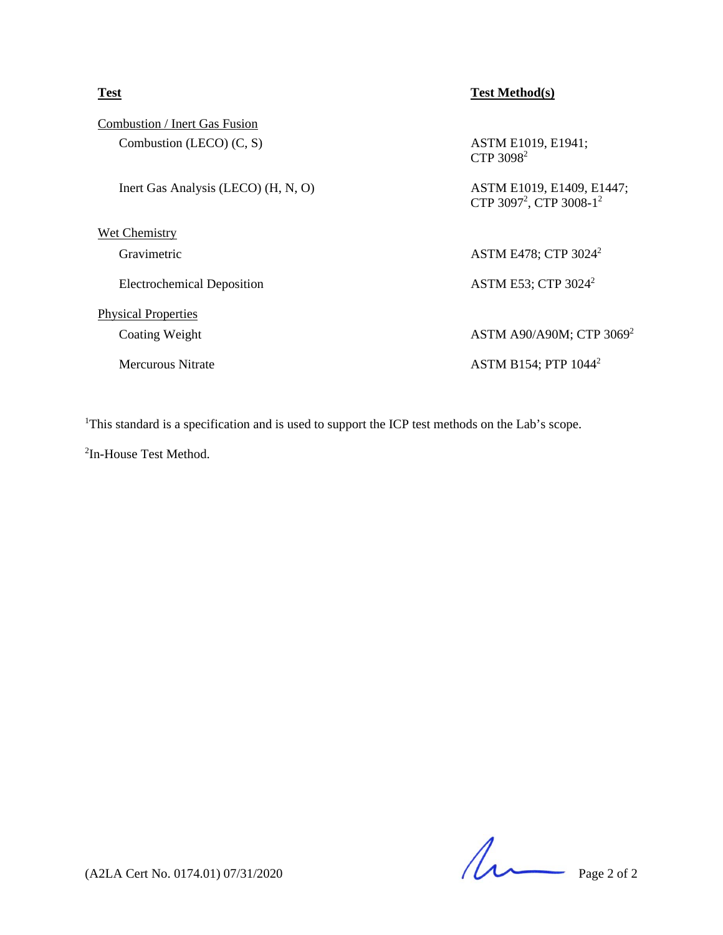| <b>Test</b>                          | <b>Test Method(s)</b>                                                        |
|--------------------------------------|------------------------------------------------------------------------------|
| <b>Combustion / Inert Gas Fusion</b> |                                                                              |
| Combustion (LECO) $(C, S)$           | ASTM E1019, E1941;<br>CTP 3098 <sup>2</sup>                                  |
| Inert Gas Analysis (LECO) (H, N, O)  | ASTM E1019, E1409, E1447;<br>CTP 3097 <sup>2</sup> , CTP 3008-1 <sup>2</sup> |
| <b>Wet Chemistry</b>                 |                                                                              |
| Gravimetric                          | ASTM E478; CTP 3024 <sup>2</sup>                                             |
| <b>Electrochemical Deposition</b>    | ASTM E53; CTP $3024^2$                                                       |
| <b>Physical Properties</b>           |                                                                              |
| Coating Weight                       | ASTM A90/A90M; CTP 3069 <sup>2</sup>                                         |
| Mercurous Nitrate                    | ASTM B154; PTP $1044^2$                                                      |
|                                      |                                                                              |

<sup>1</sup>This standard is a specification and is used to support the ICP test methods on the Lab's scope.

<sup>2</sup>In-House Test Method.

 $(42LA$  Cert No. 0174.01) 07/31/2020